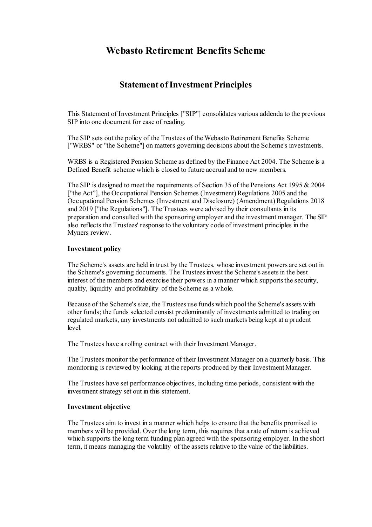# **Webasto Retirement Benefits Scheme**

# **Statement of Investment Principles**

This Statement of Investment Principles ["SIP"] consolidates various addenda to the previous SIP into one document for ease of reading.

The SIP sets out the policy of the Trustees of the Webasto Retirement Benefits Scheme ["WRBS" or "the Scheme"] on matters governing decisions about the Scheme's investments.

WRBS is a Registered Pension Scheme as defined by the Finance Act 2004. The Scheme is a Defined Benefit scheme which is closed to future accrual and to new members.

The SIP is designed to meet the requirements of Section 35 of the Pensions Act 1995 & 2004 ["the Act"], the Occupational Pension Schemes (Investment) Regulations 2005 and the Occupational Pension Schemes (Investment and Disclosure) (Amendment) Regulations 2018 and 2019 ["the Regulations"]. The Trustees were advised by their consultants in its preparation and consulted with the sponsoring employer and the investment manager. The SIP also reflects the Trustees' response to the voluntary code of investment principles in the Myners review.

#### **Investment policy**

The Scheme's assets are held in trust by the Trustees, whose investment powers are set out in the Scheme's governing documents. The Trustees invest the Scheme's assets in the best interest of the members and exercise their powers in a manner which supports the security, quality, liquidity and profitability of the Scheme as a whole.

Because of the Scheme's size, the Trustees use funds which pool the Scheme's assets with other funds; the funds selected consist predominantly of investments admitted to trading on regulated markets, any investments not admitted to such markets being kept at a prudent level.

The Trustees have a rolling contract with their Investment Manager.

The Trustees monitor the performance of their Investment Manager on a quarterly basis. This monitoring is reviewed by looking at the reports produced by their Investment Manager.

The Trustees have set performance objectives, including time periods, consistent with the investment strategy set out in this statement.

#### **Investment objective**

The Trustees aim to invest in a manner which helps to ensure that the benefits promised to members will be provided. Over the long term, this requires that a rate of return is achieved which supports the long term funding plan agreed with the sponsoring employer. In the short term, it means managing the volatility of the assets relative to the value of the liabilities.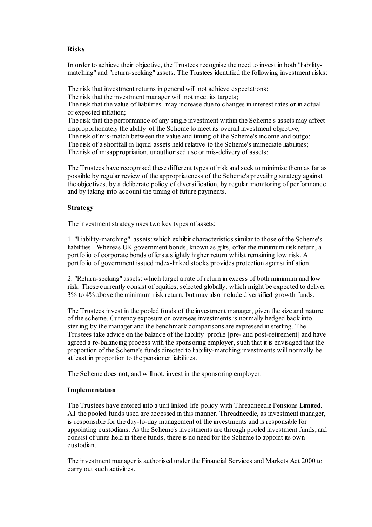# **Risks**

In order to achieve their objective, the Trustees recognise the need to invest in both "liabilitymatching" and "return-seeking" assets. The Trustees identified the following investment risks:

The risk that investment returns in general will not achieve expectations;

The risk that the investment manager will not meet its targets;

The risk that the value of liabilities may increase due to changes in interest rates or in actual or expected inflation;

The risk that the performance of any single investment within the Scheme's assets may affect disproportionately the ability of the Scheme to meet its overall investment objective; The risk of mis-match between the value and timing of the Scheme's income and outgo; The risk of a shortfall in liquid assets held relative to the Scheme's immediate liabilities; The risk of misappropriation, unauthorised use or mis-delivery of assets;

The Trustees have recognised these different types of risk and seek to minimise them as far as possible by regular review of the appropriateness of the Scheme's prevailing strategy against the objectives, by a deliberate policy of diversification, by regular monitoring of performance and by taking into account the timing of future payments.

# **Strategy**

The investment strategy uses two key types of assets:

1. "Liability-matching" assets: which exhibit characteristics similar to those of the Scheme's liabilities. Whereas UK government bonds, known as gilts, offer the minimum risk return, a portfolio of corporate bonds offers a slightly higher return whilst remaining low risk. A portfolio of government issued index-linked stocks provides protection against inflation.

2. "Return-seeking" assets: which target a rate of return in excess of both minimum and low risk. These currently consist of equities, selected globally, which might be expected to deliver 3% to 4% above the minimum risk return, but may also include diversified growth funds.

The Trustees invest in the pooled funds of the investment manager, given the size and nature of the scheme. Currency exposure on overseas investments is normally hedged back into sterling by the manager and the benchmark comparisons are expressed in sterling. The Trustees take advice on the balance of the liability profile [pre- and post-retirement] and have agreed a re-balancing process with the sponsoring employer, such that it is envisaged that the proportion of the Scheme's funds directed to liability-matching investments will normally be at least in proportion to the pensioner liabilities.

The Scheme does not, and will not, invest in the sponsoring employer.

### **Implementation**

The Trustees have entered into a unit linked life policy with Threadneedle Pensions Limited. All the pooled funds used are accessed in this manner. Threadneedle, as investment manager, is responsible for the day-to-day management of the investments and is responsible for appointing custodians. As the Scheme's investments are through pooled investment funds, and consist of units held in these funds, there is no need for the Scheme to appoint its own custodian.

The investment manager is authorised under the Financial Services and Markets Act 2000 to carry out such activities.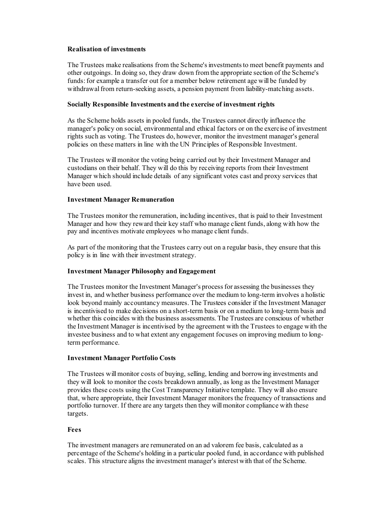### **Realisation of investments**

The Trustees make realisations from the Scheme's investments to meet benefit payments and other outgoings. In doing so, they draw down from the appropriate section of the Scheme's funds: for example a transfer out for a member below retirement age will be funded by withdrawal from return-seeking assets, a pension payment from liability-matching assets.

# **Socially Responsible Investments and the exercise of investment rights**

As the Scheme holds assets in pooled funds, the Trustees cannot directly influence the manager's policy on social, environmental and ethical factors or on the exercise of investment rights such as voting. The Trustees do, however, monitor the investment manager's general policies on these matters in line with the UN Principles of Responsible Investment.

The Trustees will monitor the voting being carried out by their Investment Manager and custodians on their behalf. They will do this by receiving reports from their Investment Manager which should include details of any significant votes cast and proxy services that have been used.

# **Investment Manager Remuneration**

The Trustees monitor the remuneration, including incentives, that is paid to their Investment Manager and how they reward their key staff who manage client funds, along with how the pay and incentives motivate employees who manage client funds.

As part of the monitoring that the Trustees carry out on a regular basis, they ensure that this policy is in line with their investment strategy.

# **Investment Manager Philosophy and Engagement**

The Trustees monitor the Investment Manager's process for assessing the businesses they invest in, and whether business performance over the medium to long-term involves a holistic look beyond mainly accountancy measures. The Trustees consider if the Investment Manager is incentivised to make decisions on a short-term basis or on a medium to long-term basis and whether this coincides with the business assessments. The Trustees are conscious of whether the Investment Manager is incentivised by the agreement with the Trustees to engage with the investee business and to what extent any engagement focuses on improving medium to longterm performance.

### **Investment Manager Portfolio Costs**

The Trustees will monitor costs of buying, selling, lending and borrowing investments and they will look to monitor the costs breakdown annually, as long as the Investment Manager provides these costs using the Cost Transparency Initiative template. They will also ensure that, where appropriate, their Investment Manager monitors the frequency of transactions and portfolio turnover. If there are any targets then they will monitor compliance with these targets.

### **Fees**

The investment managers are remunerated on an ad valorem fee basis, calculated as a percentage of the Scheme's holding in a particular pooled fund, in accordance with published scales. This structure aligns the investment manager's interest with that of the Scheme.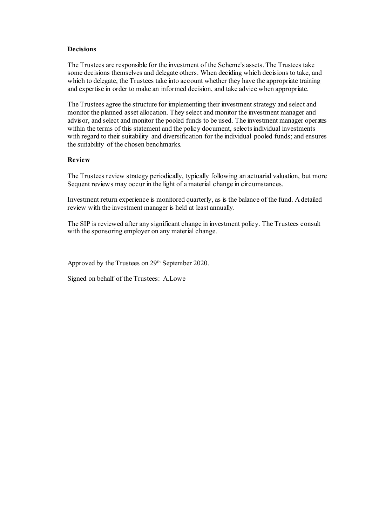#### **Decisions**

The Trustees are responsible for the investment of the Scheme's assets. The Trustees take some decisions themselves and delegate others. When deciding which decisions to take, and which to delegate, the Trustees take into account whether they have the appropriate training and expertise in order to make an informed decision, and take advice when appropriate.

The Trustees agree the structure for implementing their investment strategy and select and monitor the planned asset allocation. They select and monitor the investment manager and advisor, and select and monitor the pooled funds to be used. The investment manager operates within the terms of this statement and the policy document, selects individual investments with regard to their suitability and diversification for the individual pooled funds; and ensures the suitability of the chosen benchmarks.

### **Review**

The Trustees review strategy periodically, typically following an actuarial valuation, but more Sequent reviews may occur in the light of a material change in circumstances.

Investment return experience is monitored quarterly, as is the balance of the fund. Adetailed review with the investment manager is held at least annually.

The SIP is reviewed after any significant change in investment policy. The Trustees consult with the sponsoring employer on any material change.

Approved by the Trustees on 29th September 2020.

Signed on behalf of the Trustees: A.Lowe